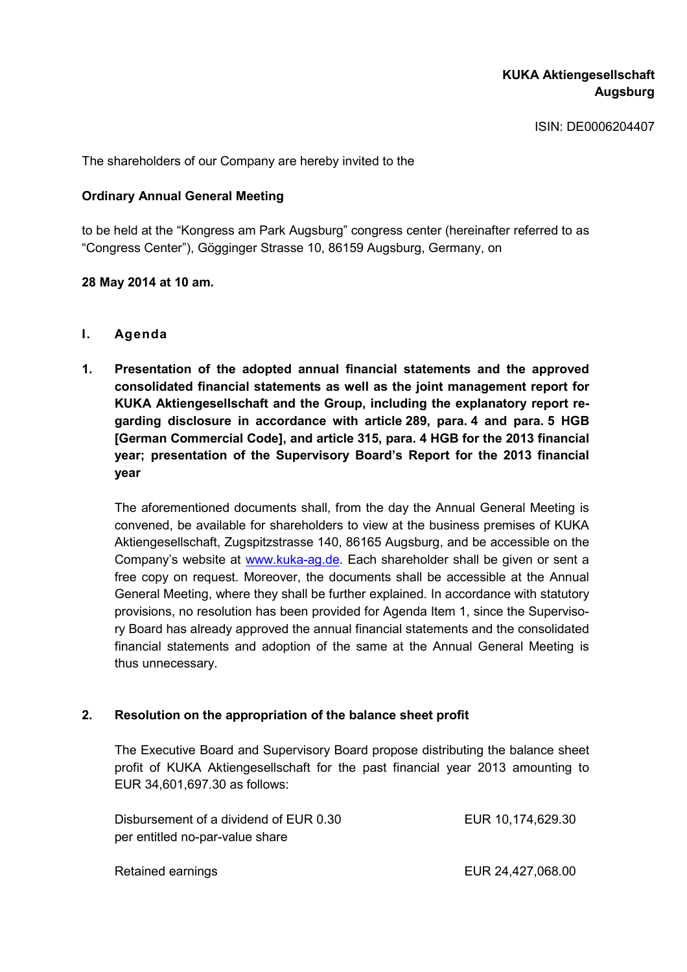ISIN: DE0006204407

The shareholders of our Company are hereby invited to the

### **Ordinary Annual General Meeting**

to be held at the "Kongress am Park Augsburg" congress center (hereinafter referred to as "Congress Center"), Gögginger Strasse 10, 86159 Augsburg, Germany, on

### **28 May 2014 at 10 am.**

- **I. Agenda**
- **1. Presentation of the adopted annual financial statements and the approved consolidated financial statements as well as the joint management report for KUKA Aktiengesellschaft and the Group, including the explanatory report regarding disclosure in accordance with article 289, para. 4 and para. 5 HGB [German Commercial Code], and article 315, para. 4 HGB for the 2013 financial year; presentation of the Supervisory Board's Report for the 2013 financial year**

The aforementioned documents shall, from the day the Annual General Meeting is convened, be available for shareholders to view at the business premises of KUKA Aktiengesellschaft, Zugspitzstrasse 140, 86165 Augsburg, and be accessible on the Company's website at www.kuka-ag.de. Each shareholder shall be given or sent a free copy on request. Moreover, the documents shall be accessible at the Annual General Meeting, where they shall be further explained. In accordance with statutory provisions, no resolution has been provided for Agenda Item 1, since the Supervisory Board has already approved the annual financial statements and the consolidated financial statements and adoption of the same at the Annual General Meeting is thus unnecessary.

### **2. Resolution on the appropriation of the balance sheet profit**

The Executive Board and Supervisory Board propose distributing the balance sheet profit of KUKA Aktiengesellschaft for the past financial year 2013 amounting to EUR 34,601,697.30 as follows:

| Disbursement of a dividend of EUR 0.30 | EUR 10,174,629.30 |
|----------------------------------------|-------------------|
| per entitled no-par-value share        |                   |
|                                        |                   |
| Retained earnings                      | EUR 24,427,068.00 |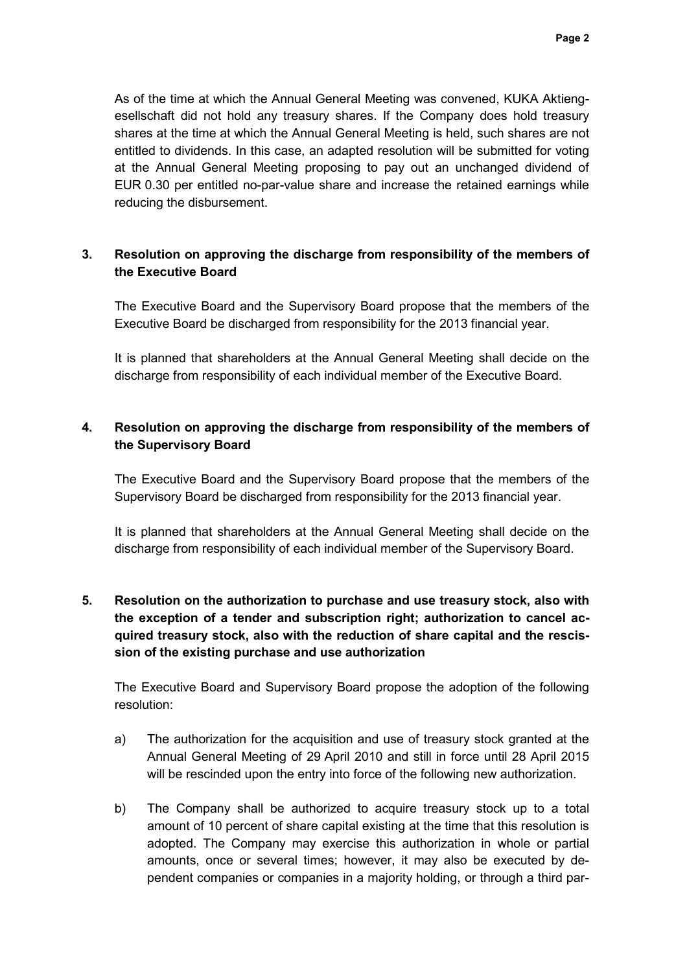As of the time at which the Annual General Meeting was convened, KUKA Aktiengesellschaft did not hold any treasury shares. If the Company does hold treasury shares at the time at which the Annual General Meeting is held, such shares are not entitled to dividends. In this case, an adapted resolution will be submitted for voting at the Annual General Meeting proposing to pay out an unchanged dividend of EUR 0.30 per entitled no-par-value share and increase the retained earnings while reducing the disbursement.

### **3. Resolution on approving the discharge from responsibility of the members of the Executive Board**

The Executive Board and the Supervisory Board propose that the members of the Executive Board be discharged from responsibility for the 2013 financial year.

It is planned that shareholders at the Annual General Meeting shall decide on the discharge from responsibility of each individual member of the Executive Board.

## **4. Resolution on approving the discharge from responsibility of the members of the Supervisory Board**

The Executive Board and the Supervisory Board propose that the members of the Supervisory Board be discharged from responsibility for the 2013 financial year.

It is planned that shareholders at the Annual General Meeting shall decide on the discharge from responsibility of each individual member of the Supervisory Board.

# **5. Resolution on the authorization to purchase and use treasury stock, also with the exception of a tender and subscription right; authorization to cancel acquired treasury stock, also with the reduction of share capital and the rescission of the existing purchase and use authorization**

The Executive Board and Supervisory Board propose the adoption of the following resolution:

- a) The authorization for the acquisition and use of treasury stock granted at the Annual General Meeting of 29 April 2010 and still in force until 28 April 2015 will be rescinded upon the entry into force of the following new authorization.
- b) The Company shall be authorized to acquire treasury stock up to a total amount of 10 percent of share capital existing at the time that this resolution is adopted. The Company may exercise this authorization in whole or partial amounts, once or several times; however, it may also be executed by dependent companies or companies in a majority holding, or through a third par-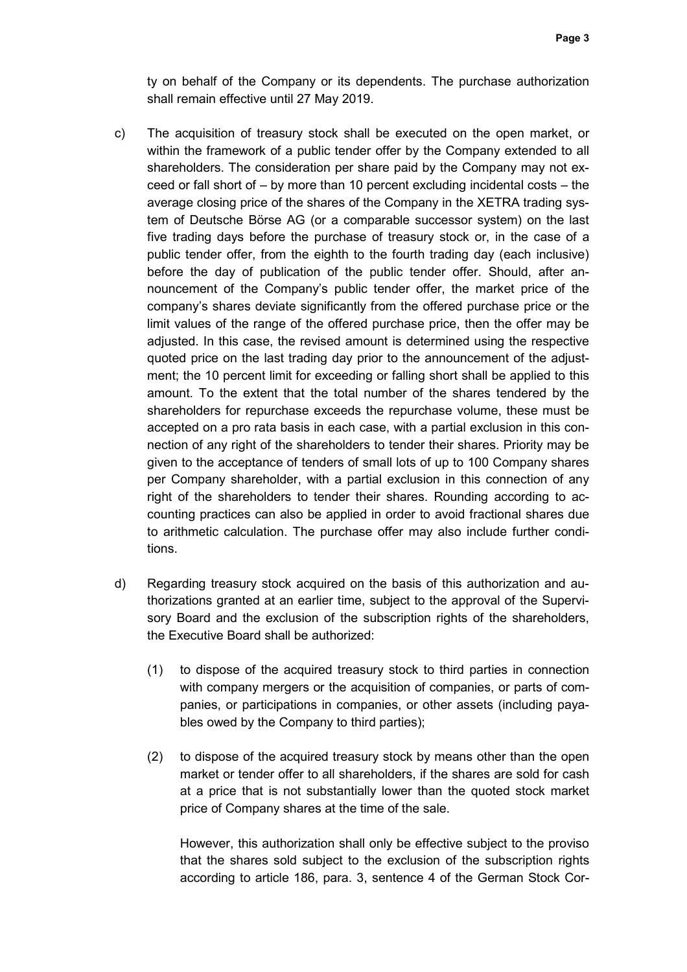ty on behalf of the Company or its dependents. The purchase authorization shall remain effective until 27 May 2019.

- c) The acquisition of treasury stock shall be executed on the open market, or within the framework of a public tender offer by the Company extended to all shareholders. The consideration per share paid by the Company may not exceed or fall short of – by more than 10 percent excluding incidental costs – the average closing price of the shares of the Company in the XETRA trading system of Deutsche Börse AG (or a comparable successor system) on the last five trading days before the purchase of treasury stock or, in the case of a public tender offer, from the eighth to the fourth trading day (each inclusive) before the day of publication of the public tender offer. Should, after announcement of the Company's public tender offer, the market price of the company's shares deviate significantly from the offered purchase price or the limit values of the range of the offered purchase price, then the offer may be adjusted. In this case, the revised amount is determined using the respective quoted price on the last trading day prior to the announcement of the adjustment; the 10 percent limit for exceeding or falling short shall be applied to this amount. To the extent that the total number of the shares tendered by the shareholders for repurchase exceeds the repurchase volume, these must be accepted on a pro rata basis in each case, with a partial exclusion in this connection of any right of the shareholders to tender their shares. Priority may be given to the acceptance of tenders of small lots of up to 100 Company shares per Company shareholder, with a partial exclusion in this connection of any right of the shareholders to tender their shares. Rounding according to accounting practices can also be applied in order to avoid fractional shares due to arithmetic calculation. The purchase offer may also include further conditions.
- d) Regarding treasury stock acquired on the basis of this authorization and authorizations granted at an earlier time, subject to the approval of the Supervisory Board and the exclusion of the subscription rights of the shareholders, the Executive Board shall be authorized:
	- (1) to dispose of the acquired treasury stock to third parties in connection with company mergers or the acquisition of companies, or parts of companies, or participations in companies, or other assets (including payables owed by the Company to third parties);
	- (2) to dispose of the acquired treasury stock by means other than the open market or tender offer to all shareholders, if the shares are sold for cash at a price that is not substantially lower than the quoted stock market price of Company shares at the time of the sale.

However, this authorization shall only be effective subject to the proviso that the shares sold subject to the exclusion of the subscription rights according to article 186, para. 3, sentence 4 of the German Stock Cor-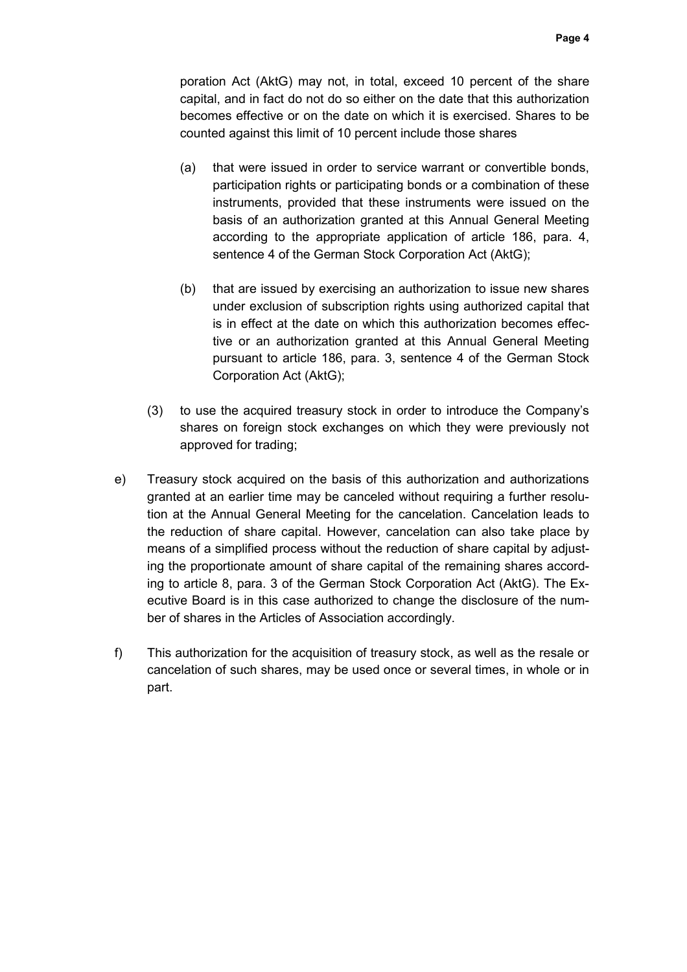poration Act (AktG) may not, in total, exceed 10 percent of the share capital, and in fact do not do so either on the date that this authorization becomes effective or on the date on which it is exercised. Shares to be counted against this limit of 10 percent include those shares

- (a) that were issued in order to service warrant or convertible bonds, participation rights or participating bonds or a combination of these instruments, provided that these instruments were issued on the basis of an authorization granted at this Annual General Meeting according to the appropriate application of article 186, para. 4, sentence 4 of the German Stock Corporation Act (AktG);
- (b) that are issued by exercising an authorization to issue new shares under exclusion of subscription rights using authorized capital that is in effect at the date on which this authorization becomes effective or an authorization granted at this Annual General Meeting pursuant to article 186, para. 3, sentence 4 of the German Stock Corporation Act (AktG);
- (3) to use the acquired treasury stock in order to introduce the Company's shares on foreign stock exchanges on which they were previously not approved for trading;
- e) Treasury stock acquired on the basis of this authorization and authorizations granted at an earlier time may be canceled without requiring a further resolution at the Annual General Meeting for the cancelation. Cancelation leads to the reduction of share capital. However, cancelation can also take place by means of a simplified process without the reduction of share capital by adjusting the proportionate amount of share capital of the remaining shares according to article 8, para. 3 of the German Stock Corporation Act (AktG). The Executive Board is in this case authorized to change the disclosure of the number of shares in the Articles of Association accordingly.
- f) This authorization for the acquisition of treasury stock, as well as the resale or cancelation of such shares, may be used once or several times, in whole or in part.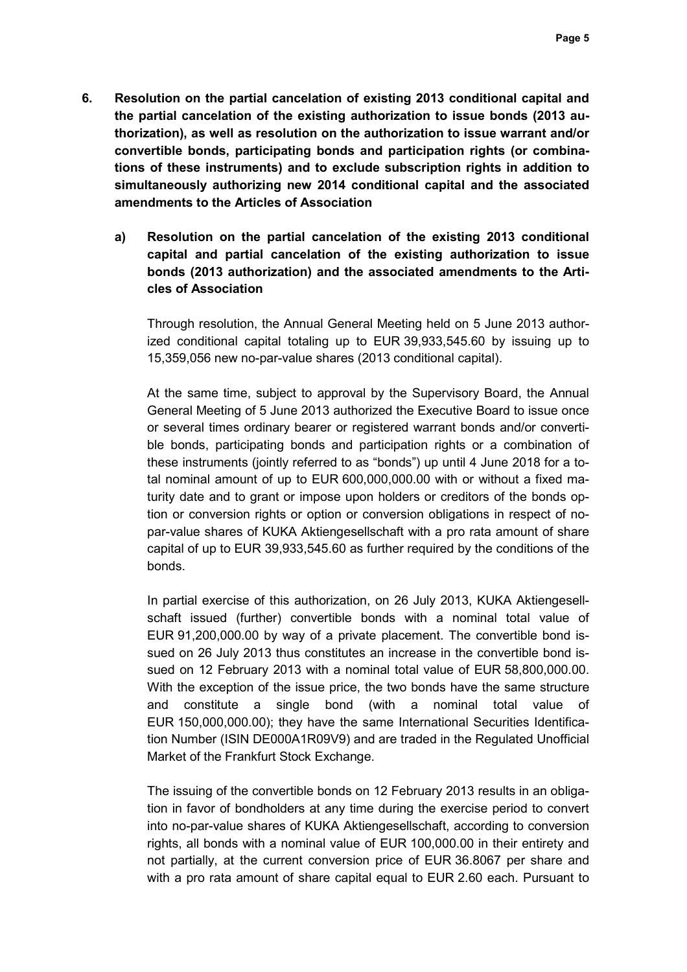- **6. Resolution on the partial cancelation of existing 2013 conditional capital and the partial cancelation of the existing authorization to issue bonds (2013 authorization), as well as resolution on the authorization to issue warrant and/or convertible bonds, participating bonds and participation rights (or combinations of these instruments) and to exclude subscription rights in addition to simultaneously authorizing new 2014 conditional capital and the associated amendments to the Articles of Association**
	- **a) Resolution on the partial cancelation of the existing 2013 conditional capital and partial cancelation of the existing authorization to issue bonds (2013 authorization) and the associated amendments to the Articles of Association**

Through resolution, the Annual General Meeting held on 5 June 2013 authorized conditional capital totaling up to EUR 39,933,545.60 by issuing up to 15,359,056 new no-par-value shares (2013 conditional capital).

At the same time, subject to approval by the Supervisory Board, the Annual General Meeting of 5 June 2013 authorized the Executive Board to issue once or several times ordinary bearer or registered warrant bonds and/or convertible bonds, participating bonds and participation rights or a combination of these instruments (jointly referred to as "bonds") up until 4 June 2018 for a total nominal amount of up to EUR 600,000,000.00 with or without a fixed maturity date and to grant or impose upon holders or creditors of the bonds option or conversion rights or option or conversion obligations in respect of nopar-value shares of KUKA Aktiengesellschaft with a pro rata amount of share capital of up to EUR 39,933,545.60 as further required by the conditions of the bonds.

In partial exercise of this authorization, on 26 July 2013, KUKA Aktiengesellschaft issued (further) convertible bonds with a nominal total value of EUR 91,200,000.00 by way of a private placement. The convertible bond issued on 26 July 2013 thus constitutes an increase in the convertible bond issued on 12 February 2013 with a nominal total value of EUR 58,800,000.00. With the exception of the issue price, the two bonds have the same structure and constitute a single bond (with a nominal total value of EUR 150,000,000.00); they have the same International Securities Identification Number (ISIN DE000A1R09V9) and are traded in the Regulated Unofficial Market of the Frankfurt Stock Exchange.

The issuing of the convertible bonds on 12 February 2013 results in an obligation in favor of bondholders at any time during the exercise period to convert into no-par-value shares of KUKA Aktiengesellschaft, according to conversion rights, all bonds with a nominal value of EUR 100,000.00 in their entirety and not partially, at the current conversion price of EUR 36.8067 per share and with a pro rata amount of share capital equal to EUR 2.60 each. Pursuant to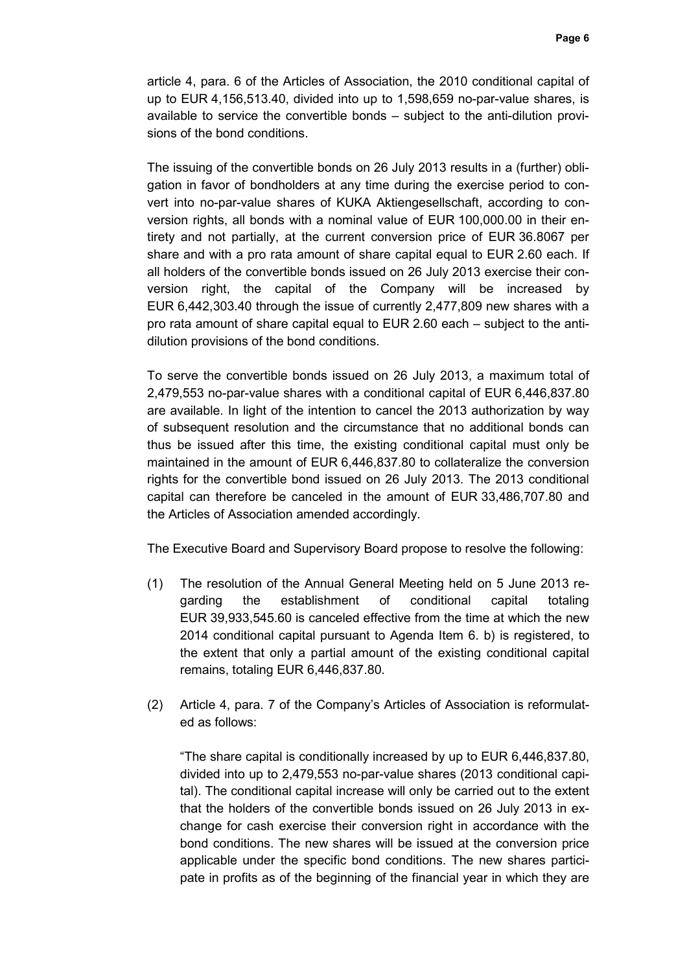article 4, para. 6 of the Articles of Association, the 2010 conditional capital of up to EUR 4,156,513.40, divided into up to 1,598,659 no-par-value shares, is available to service the convertible bonds – subject to the anti-dilution provisions of the bond conditions.

The issuing of the convertible bonds on 26 July 2013 results in a (further) obligation in favor of bondholders at any time during the exercise period to convert into no-par-value shares of KUKA Aktiengesellschaft, according to conversion rights, all bonds with a nominal value of EUR 100,000.00 in their entirety and not partially, at the current conversion price of EUR 36.8067 per share and with a pro rata amount of share capital equal to EUR 2.60 each. If all holders of the convertible bonds issued on 26 July 2013 exercise their conversion right, the capital of the Company will be increased by EUR 6,442,303.40 through the issue of currently 2,477,809 new shares with a pro rata amount of share capital equal to EUR 2.60 each – subject to the antidilution provisions of the bond conditions.

To serve the convertible bonds issued on 26 July 2013, a maximum total of 2,479,553 no-par-value shares with a conditional capital of EUR 6,446,837.80 are available. In light of the intention to cancel the 2013 authorization by way of subsequent resolution and the circumstance that no additional bonds can thus be issued after this time, the existing conditional capital must only be maintained in the amount of EUR 6,446,837.80 to collateralize the conversion rights for the convertible bond issued on 26 July 2013. The 2013 conditional capital can therefore be canceled in the amount of EUR 33,486,707.80 and the Articles of Association amended accordingly.

The Executive Board and Supervisory Board propose to resolve the following:

- (1) The resolution of the Annual General Meeting held on 5 June 2013 regarding the establishment of conditional capital totaling EUR 39,933,545.60 is canceled effective from the time at which the new 2014 conditional capital pursuant to Agenda Item 6. b) is registered, to the extent that only a partial amount of the existing conditional capital remains, totaling EUR 6,446,837.80.
- (2) Article 4, para. 7 of the Company's Articles of Association is reformulated as follows:

"The share capital is conditionally increased by up to EUR 6,446,837.80, divided into up to 2,479,553 no-par-value shares (2013 conditional capital). The conditional capital increase will only be carried out to the extent that the holders of the convertible bonds issued on 26 July 2013 in exchange for cash exercise their conversion right in accordance with the bond conditions. The new shares will be issued at the conversion price applicable under the specific bond conditions. The new shares participate in profits as of the beginning of the financial year in which they are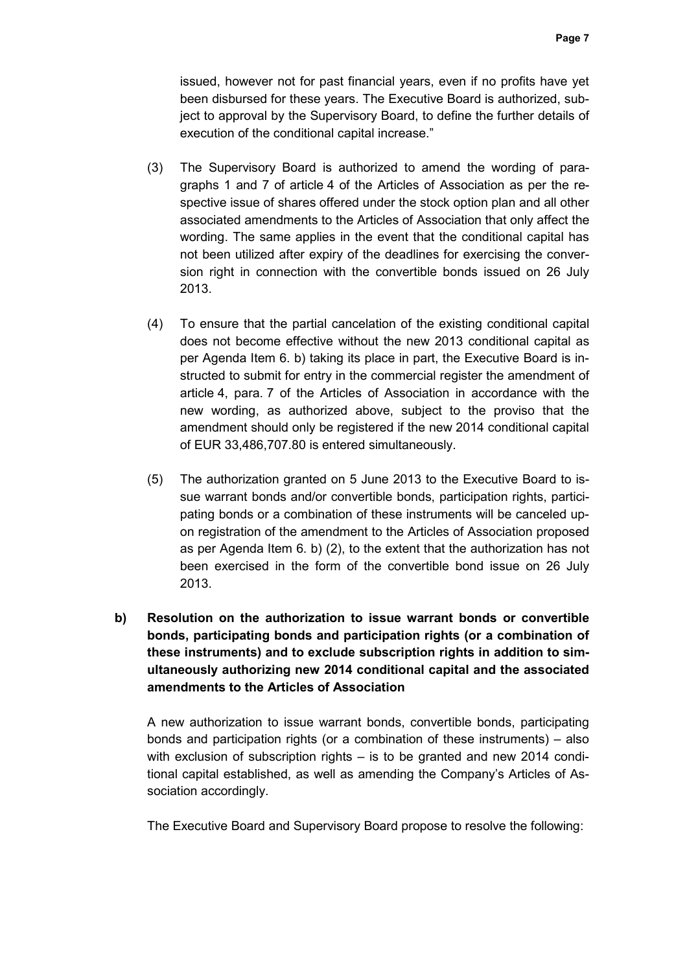issued, however not for past financial years, even if no profits have yet been disbursed for these years. The Executive Board is authorized, subject to approval by the Supervisory Board, to define the further details of execution of the conditional capital increase."

- (3) The Supervisory Board is authorized to amend the wording of paragraphs 1 and 7 of article 4 of the Articles of Association as per the respective issue of shares offered under the stock option plan and all other associated amendments to the Articles of Association that only affect the wording. The same applies in the event that the conditional capital has not been utilized after expiry of the deadlines for exercising the conversion right in connection with the convertible bonds issued on 26 July 2013.
- (4) To ensure that the partial cancelation of the existing conditional capital does not become effective without the new 2013 conditional capital as per Agenda Item 6. b) taking its place in part, the Executive Board is instructed to submit for entry in the commercial register the amendment of article 4, para. 7 of the Articles of Association in accordance with the new wording, as authorized above, subject to the proviso that the amendment should only be registered if the new 2014 conditional capital of EUR 33,486,707.80 is entered simultaneously.
- (5) The authorization granted on 5 June 2013 to the Executive Board to issue warrant bonds and/or convertible bonds, participation rights, participating bonds or a combination of these instruments will be canceled upon registration of the amendment to the Articles of Association proposed as per Agenda Item 6. b) (2), to the extent that the authorization has not been exercised in the form of the convertible bond issue on 26 July 2013.
- **b) Resolution on the authorization to issue warrant bonds or convertible bonds, participating bonds and participation rights (or a combination of these instruments) and to exclude subscription rights in addition to simultaneously authorizing new 2014 conditional capital and the associated amendments to the Articles of Association**

A new authorization to issue warrant bonds, convertible bonds, participating bonds and participation rights (or a combination of these instruments) – also with exclusion of subscription rights – is to be granted and new 2014 conditional capital established, as well as amending the Company's Articles of Association accordingly.

The Executive Board and Supervisory Board propose to resolve the following: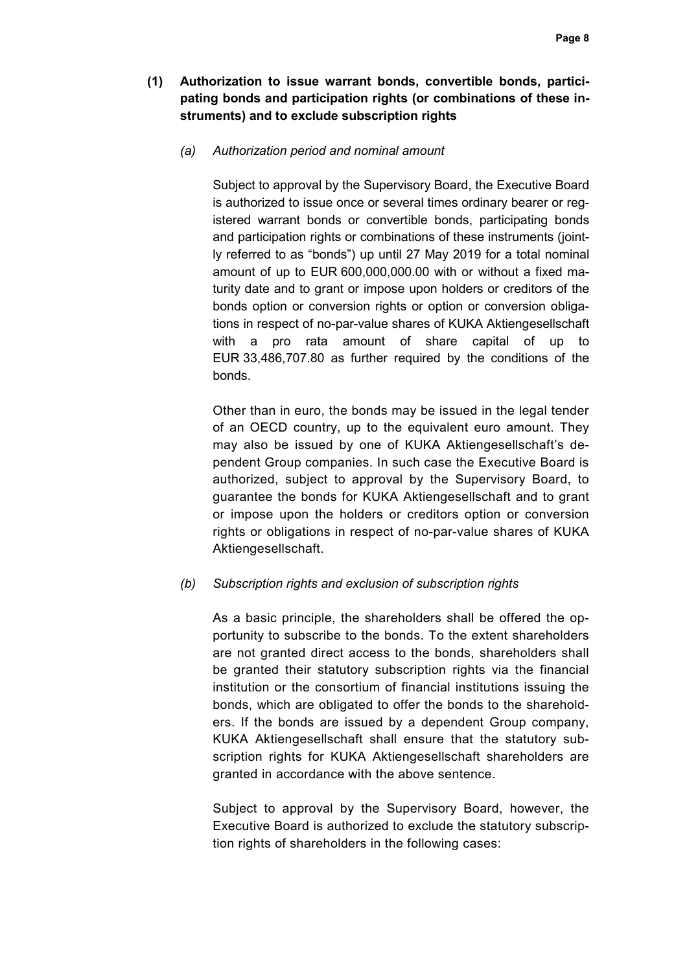- **(1) Authorization to issue warrant bonds, convertible bonds, participating bonds and participation rights (or combinations of these instruments) and to exclude subscription rights** 
	- *(a) Authorization period and nominal amount*

Subject to approval by the Supervisory Board, the Executive Board is authorized to issue once or several times ordinary bearer or registered warrant bonds or convertible bonds, participating bonds and participation rights or combinations of these instruments (jointly referred to as "bonds") up until 27 May 2019 for a total nominal amount of up to EUR 600,000,000.00 with or without a fixed maturity date and to grant or impose upon holders or creditors of the bonds option or conversion rights or option or conversion obligations in respect of no-par-value shares of KUKA Aktiengesellschaft with a pro rata amount of share capital of up to EUR 33,486,707.80 as further required by the conditions of the bonds.

Other than in euro, the bonds may be issued in the legal tender of an OECD country, up to the equivalent euro amount. They may also be issued by one of KUKA Aktiengesellschaft's dependent Group companies. In such case the Executive Board is authorized, subject to approval by the Supervisory Board, to guarantee the bonds for KUKA Aktiengesellschaft and to grant or impose upon the holders or creditors option or conversion rights or obligations in respect of no-par-value shares of KUKA Aktiengesellschaft.

#### *(b) Subscription rights and exclusion of subscription rights*

As a basic principle, the shareholders shall be offered the opportunity to subscribe to the bonds. To the extent shareholders are not granted direct access to the bonds, shareholders shall be granted their statutory subscription rights via the financial institution or the consortium of financial institutions issuing the bonds, which are obligated to offer the bonds to the shareholders. If the bonds are issued by a dependent Group company, KUKA Aktiengesellschaft shall ensure that the statutory subscription rights for KUKA Aktiengesellschaft shareholders are granted in accordance with the above sentence.

Subject to approval by the Supervisory Board, however, the Executive Board is authorized to exclude the statutory subscription rights of shareholders in the following cases: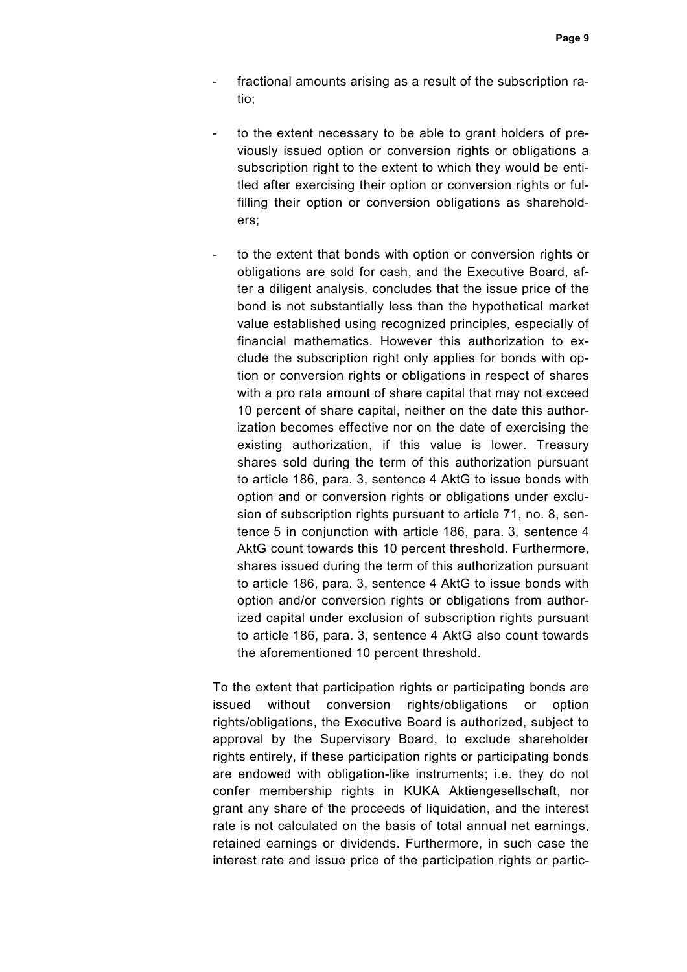- fractional amounts arising as a result of the subscription ratio;
- to the extent necessary to be able to grant holders of previously issued option or conversion rights or obligations a subscription right to the extent to which they would be entitled after exercising their option or conversion rights or fulfilling their option or conversion obligations as shareholders;
	- to the extent that bonds with option or conversion rights or obligations are sold for cash, and the Executive Board, after a diligent analysis, concludes that the issue price of the bond is not substantially less than the hypothetical market value established using recognized principles, especially of financial mathematics. However this authorization to exclude the subscription right only applies for bonds with option or conversion rights or obligations in respect of shares with a pro rata amount of share capital that may not exceed 10 percent of share capital, neither on the date this authorization becomes effective nor on the date of exercising the existing authorization, if this value is lower. Treasury shares sold during the term of this authorization pursuant to article 186, para. 3, sentence 4 AktG to issue bonds with option and or conversion rights or obligations under exclusion of subscription rights pursuant to article 71, no. 8, sentence 5 in conjunction with article 186, para. 3, sentence 4 AktG count towards this 10 percent threshold. Furthermore, shares issued during the term of this authorization pursuant to article 186, para. 3, sentence 4 AktG to issue bonds with option and/or conversion rights or obligations from authorized capital under exclusion of subscription rights pursuant to article 186, para. 3, sentence 4 AktG also count towards the aforementioned 10 percent threshold.

To the extent that participation rights or participating bonds are issued without conversion rights/obligations or option rights/obligations, the Executive Board is authorized, subject to approval by the Supervisory Board, to exclude shareholder rights entirely, if these participation rights or participating bonds are endowed with obligation-like instruments; i.e. they do not confer membership rights in KUKA Aktiengesellschaft, nor grant any share of the proceeds of liquidation, and the interest rate is not calculated on the basis of total annual net earnings, retained earnings or dividends. Furthermore, in such case the interest rate and issue price of the participation rights or partic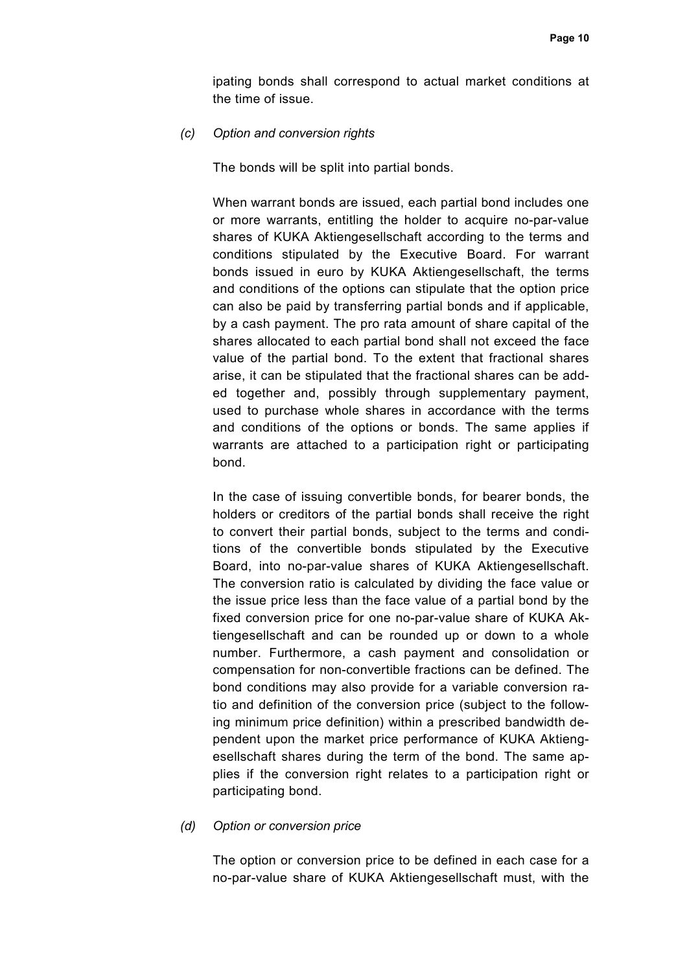ipating bonds shall correspond to actual market conditions at the time of issue.

*(c) Option and conversion rights* 

The bonds will be split into partial bonds.

When warrant bonds are issued, each partial bond includes one or more warrants, entitling the holder to acquire no-par-value shares of KUKA Aktiengesellschaft according to the terms and conditions stipulated by the Executive Board. For warrant bonds issued in euro by KUKA Aktiengesellschaft, the terms and conditions of the options can stipulate that the option price can also be paid by transferring partial bonds and if applicable, by a cash payment. The pro rata amount of share capital of the shares allocated to each partial bond shall not exceed the face value of the partial bond. To the extent that fractional shares arise, it can be stipulated that the fractional shares can be added together and, possibly through supplementary payment, used to purchase whole shares in accordance with the terms and conditions of the options or bonds. The same applies if warrants are attached to a participation right or participating bond.

In the case of issuing convertible bonds, for bearer bonds, the holders or creditors of the partial bonds shall receive the right to convert their partial bonds, subject to the terms and conditions of the convertible bonds stipulated by the Executive Board, into no-par-value shares of KUKA Aktiengesellschaft. The conversion ratio is calculated by dividing the face value or the issue price less than the face value of a partial bond by the fixed conversion price for one no-par-value share of KUKA Aktiengesellschaft and can be rounded up or down to a whole number. Furthermore, a cash payment and consolidation or compensation for non-convertible fractions can be defined. The bond conditions may also provide for a variable conversion ratio and definition of the conversion price (subject to the following minimum price definition) within a prescribed bandwidth dependent upon the market price performance of KUKA Aktiengesellschaft shares during the term of the bond. The same applies if the conversion right relates to a participation right or participating bond.

#### *(d) Option or conversion price*

The option or conversion price to be defined in each case for a no-par-value share of KUKA Aktiengesellschaft must, with the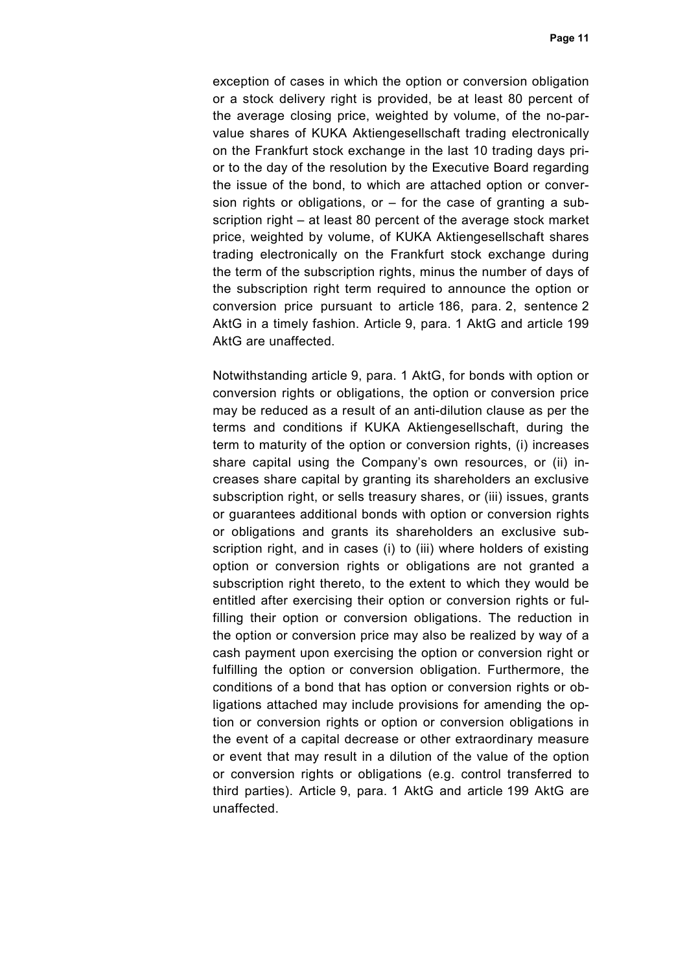exception of cases in which the option or conversion obligation or a stock delivery right is provided, be at least 80 percent of the average closing price, weighted by volume, of the no-parvalue shares of KUKA Aktiengesellschaft trading electronically on the Frankfurt stock exchange in the last 10 trading days prior to the day of the resolution by the Executive Board regarding the issue of the bond, to which are attached option or conversion rights or obligations, or  $-$  for the case of granting a subscription right – at least 80 percent of the average stock market price, weighted by volume, of KUKA Aktiengesellschaft shares trading electronically on the Frankfurt stock exchange during the term of the subscription rights, minus the number of days of the subscription right term required to announce the option or conversion price pursuant to article 186, para. 2, sentence 2 AktG in a timely fashion. Article 9, para. 1 AktG and article 199 AktG are unaffected.

 Notwithstanding article 9, para. 1 AktG, for bonds with option or conversion rights or obligations, the option or conversion price may be reduced as a result of an anti-dilution clause as per the terms and conditions if KUKA Aktiengesellschaft, during the term to maturity of the option or conversion rights, (i) increases share capital using the Company's own resources, or (ii) increases share capital by granting its shareholders an exclusive subscription right, or sells treasury shares, or (iii) issues, grants or guarantees additional bonds with option or conversion rights or obligations and grants its shareholders an exclusive subscription right, and in cases (i) to (iii) where holders of existing option or conversion rights or obligations are not granted a subscription right thereto, to the extent to which they would be entitled after exercising their option or conversion rights or fulfilling their option or conversion obligations. The reduction in the option or conversion price may also be realized by way of a cash payment upon exercising the option or conversion right or fulfilling the option or conversion obligation. Furthermore, the conditions of a bond that has option or conversion rights or obligations attached may include provisions for amending the option or conversion rights or option or conversion obligations in the event of a capital decrease or other extraordinary measure or event that may result in a dilution of the value of the option or conversion rights or obligations (e.g. control transferred to third parties). Article 9, para. 1 AktG and article 199 AktG are unaffected.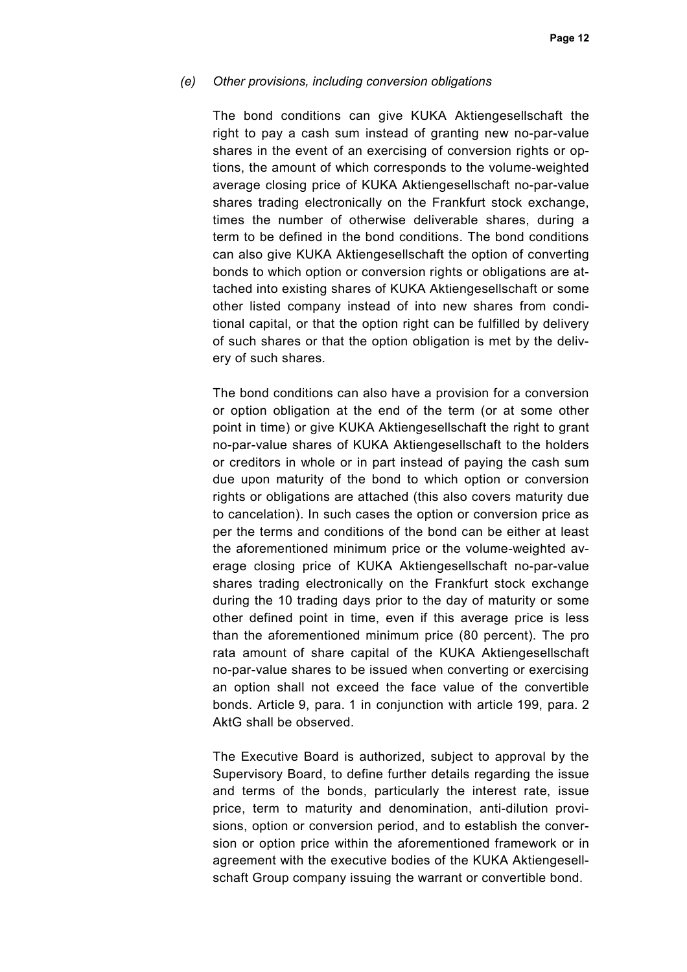#### *(e) Other provisions, including conversion obligations*

The bond conditions can give KUKA Aktiengesellschaft the right to pay a cash sum instead of granting new no-par-value shares in the event of an exercising of conversion rights or options, the amount of which corresponds to the volume-weighted average closing price of KUKA Aktiengesellschaft no-par-value shares trading electronically on the Frankfurt stock exchange, times the number of otherwise deliverable shares, during a term to be defined in the bond conditions. The bond conditions can also give KUKA Aktiengesellschaft the option of converting bonds to which option or conversion rights or obligations are attached into existing shares of KUKA Aktiengesellschaft or some other listed company instead of into new shares from conditional capital, or that the option right can be fulfilled by delivery of such shares or that the option obligation is met by the delivery of such shares.

The bond conditions can also have a provision for a conversion or option obligation at the end of the term (or at some other point in time) or give KUKA Aktiengesellschaft the right to grant no-par-value shares of KUKA Aktiengesellschaft to the holders or creditors in whole or in part instead of paying the cash sum due upon maturity of the bond to which option or conversion rights or obligations are attached (this also covers maturity due to cancelation). In such cases the option or conversion price as per the terms and conditions of the bond can be either at least the aforementioned minimum price or the volume-weighted average closing price of KUKA Aktiengesellschaft no-par-value shares trading electronically on the Frankfurt stock exchange during the 10 trading days prior to the day of maturity or some other defined point in time, even if this average price is less than the aforementioned minimum price (80 percent). The pro rata amount of share capital of the KUKA Aktiengesellschaft no-par-value shares to be issued when converting or exercising an option shall not exceed the face value of the convertible bonds. Article 9, para. 1 in conjunction with article 199, para. 2 AktG shall be observed.

The Executive Board is authorized, subject to approval by the Supervisory Board, to define further details regarding the issue and terms of the bonds, particularly the interest rate, issue price, term to maturity and denomination, anti-dilution provisions, option or conversion period, and to establish the conversion or option price within the aforementioned framework or in agreement with the executive bodies of the KUKA Aktiengesellschaft Group company issuing the warrant or convertible bond.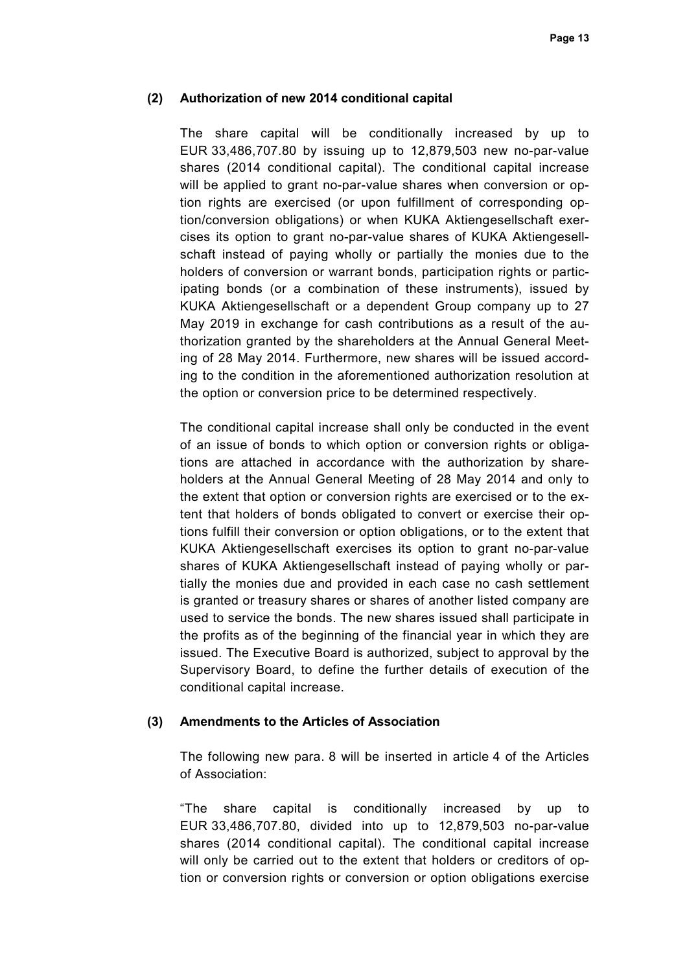### **(2) Authorization of new 2014 conditional capital**

The share capital will be conditionally increased by up to EUR 33,486,707.80 by issuing up to 12,879,503 new no-par-value shares (2014 conditional capital). The conditional capital increase will be applied to grant no-par-value shares when conversion or option rights are exercised (or upon fulfillment of corresponding option/conversion obligations) or when KUKA Aktiengesellschaft exercises its option to grant no-par-value shares of KUKA Aktiengesellschaft instead of paying wholly or partially the monies due to the holders of conversion or warrant bonds, participation rights or participating bonds (or a combination of these instruments), issued by KUKA Aktiengesellschaft or a dependent Group company up to 27 May 2019 in exchange for cash contributions as a result of the authorization granted by the shareholders at the Annual General Meeting of 28 May 2014. Furthermore, new shares will be issued according to the condition in the aforementioned authorization resolution at the option or conversion price to be determined respectively.

The conditional capital increase shall only be conducted in the event of an issue of bonds to which option or conversion rights or obligations are attached in accordance with the authorization by shareholders at the Annual General Meeting of 28 May 2014 and only to the extent that option or conversion rights are exercised or to the extent that holders of bonds obligated to convert or exercise their options fulfill their conversion or option obligations, or to the extent that KUKA Aktiengesellschaft exercises its option to grant no-par-value shares of KUKA Aktiengesellschaft instead of paying wholly or partially the monies due and provided in each case no cash settlement is granted or treasury shares or shares of another listed company are used to service the bonds. The new shares issued shall participate in the profits as of the beginning of the financial year in which they are issued. The Executive Board is authorized, subject to approval by the Supervisory Board, to define the further details of execution of the conditional capital increase.

#### **(3) Amendments to the Articles of Association**

The following new para. 8 will be inserted in article 4 of the Articles of Association:

"The share capital is conditionally increased by up to EUR 33,486,707.80, divided into up to 12,879,503 no-par-value shares (2014 conditional capital). The conditional capital increase will only be carried out to the extent that holders or creditors of option or conversion rights or conversion or option obligations exercise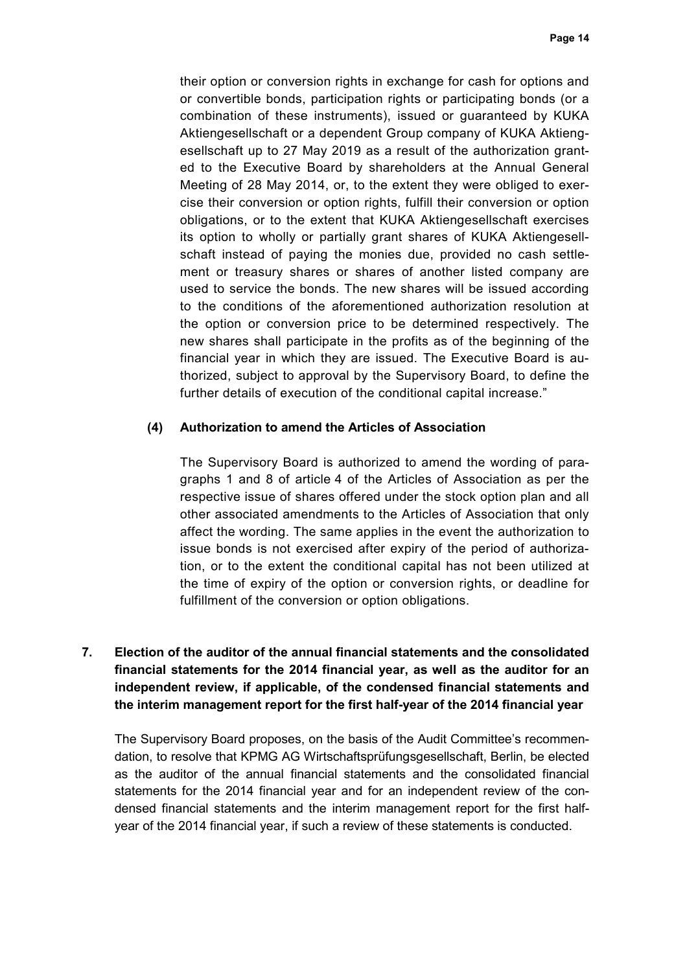their option or conversion rights in exchange for cash for options and or convertible bonds, participation rights or participating bonds (or a combination of these instruments), issued or guaranteed by KUKA Aktiengesellschaft or a dependent Group company of KUKA Aktiengesellschaft up to 27 May 2019 as a result of the authorization granted to the Executive Board by shareholders at the Annual General Meeting of 28 May 2014, or, to the extent they were obliged to exercise their conversion or option rights, fulfill their conversion or option obligations, or to the extent that KUKA Aktiengesellschaft exercises its option to wholly or partially grant shares of KUKA Aktiengesellschaft instead of paying the monies due, provided no cash settlement or treasury shares or shares of another listed company are used to service the bonds. The new shares will be issued according to the conditions of the aforementioned authorization resolution at the option or conversion price to be determined respectively. The new shares shall participate in the profits as of the beginning of the financial year in which they are issued. The Executive Board is authorized, subject to approval by the Supervisory Board, to define the further details of execution of the conditional capital increase."

### **(4) Authorization to amend the Articles of Association**

The Supervisory Board is authorized to amend the wording of paragraphs 1 and 8 of article 4 of the Articles of Association as per the respective issue of shares offered under the stock option plan and all other associated amendments to the Articles of Association that only affect the wording. The same applies in the event the authorization to issue bonds is not exercised after expiry of the period of authorization, or to the extent the conditional capital has not been utilized at the time of expiry of the option or conversion rights, or deadline for fulfillment of the conversion or option obligations.

# **7. Election of the auditor of the annual financial statements and the consolidated financial statements for the 2014 financial year, as well as the auditor for an independent review, if applicable, of the condensed financial statements and the interim management report for the first half-year of the 2014 financial year**

The Supervisory Board proposes, on the basis of the Audit Committee's recommendation, to resolve that KPMG AG Wirtschaftsprüfungsgesellschaft, Berlin, be elected as the auditor of the annual financial statements and the consolidated financial statements for the 2014 financial year and for an independent review of the condensed financial statements and the interim management report for the first halfyear of the 2014 financial year, if such a review of these statements is conducted.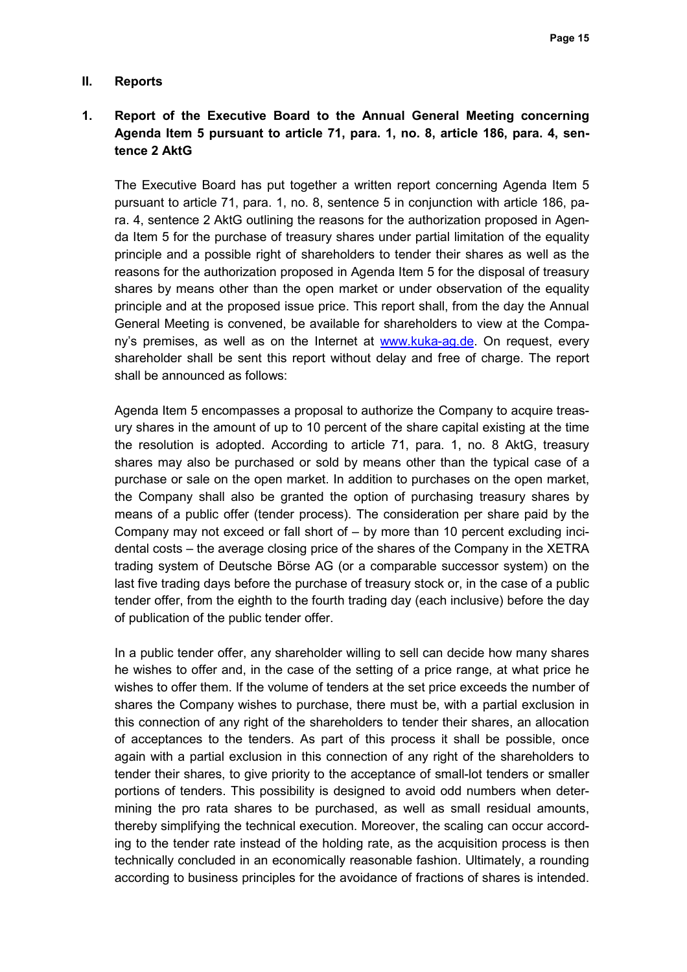#### **II. Reports**

# **1. Report of the Executive Board to the Annual General Meeting concerning Agenda Item 5 pursuant to article 71, para. 1, no. 8, article 186, para. 4, sentence 2 AktG**

The Executive Board has put together a written report concerning Agenda Item 5 pursuant to article 71, para. 1, no. 8, sentence 5 in conjunction with article 186, para. 4, sentence 2 AktG outlining the reasons for the authorization proposed in Agenda Item 5 for the purchase of treasury shares under partial limitation of the equality principle and a possible right of shareholders to tender their shares as well as the reasons for the authorization proposed in Agenda Item 5 for the disposal of treasury shares by means other than the open market or under observation of the equality principle and at the proposed issue price. This report shall, from the day the Annual General Meeting is convened, be available for shareholders to view at the Company's premises, as well as on the Internet at www.kuka-ag.de. On request, every shareholder shall be sent this report without delay and free of charge. The report shall be announced as follows:

Agenda Item 5 encompasses a proposal to authorize the Company to acquire treasury shares in the amount of up to 10 percent of the share capital existing at the time the resolution is adopted. According to article 71, para. 1, no. 8 AktG, treasury shares may also be purchased or sold by means other than the typical case of a purchase or sale on the open market. In addition to purchases on the open market, the Company shall also be granted the option of purchasing treasury shares by means of a public offer (tender process). The consideration per share paid by the Company may not exceed or fall short of – by more than 10 percent excluding incidental costs – the average closing price of the shares of the Company in the XETRA trading system of Deutsche Börse AG (or a comparable successor system) on the last five trading days before the purchase of treasury stock or, in the case of a public tender offer, from the eighth to the fourth trading day (each inclusive) before the day of publication of the public tender offer.

In a public tender offer, any shareholder willing to sell can decide how many shares he wishes to offer and, in the case of the setting of a price range, at what price he wishes to offer them. If the volume of tenders at the set price exceeds the number of shares the Company wishes to purchase, there must be, with a partial exclusion in this connection of any right of the shareholders to tender their shares, an allocation of acceptances to the tenders. As part of this process it shall be possible, once again with a partial exclusion in this connection of any right of the shareholders to tender their shares, to give priority to the acceptance of small-lot tenders or smaller portions of tenders. This possibility is designed to avoid odd numbers when determining the pro rata shares to be purchased, as well as small residual amounts, thereby simplifying the technical execution. Moreover, the scaling can occur according to the tender rate instead of the holding rate, as the acquisition process is then technically concluded in an economically reasonable fashion. Ultimately, a rounding according to business principles for the avoidance of fractions of shares is intended.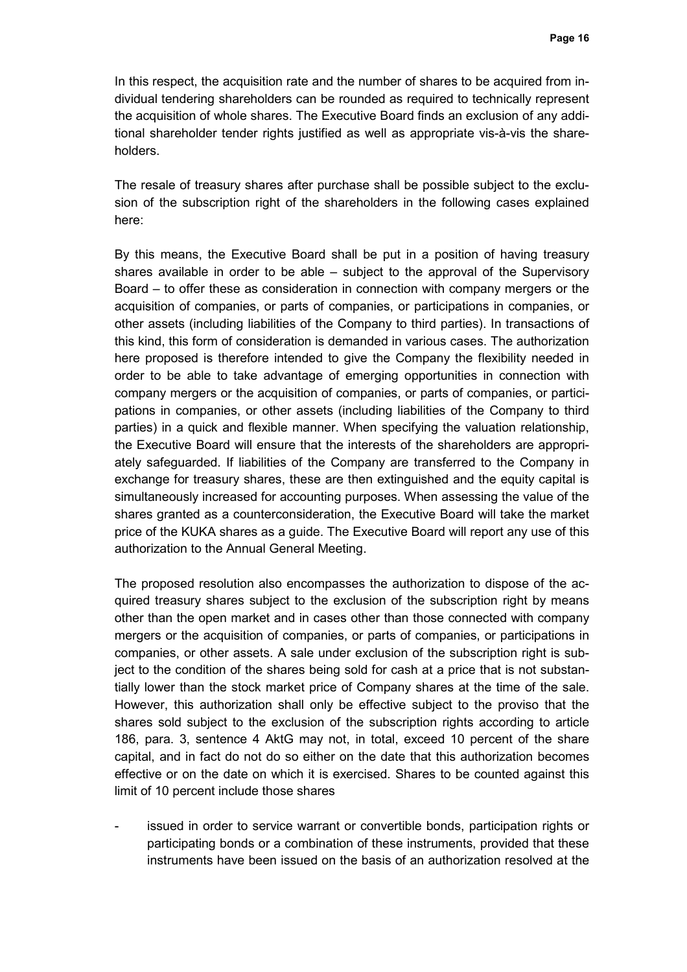In this respect, the acquisition rate and the number of shares to be acquired from individual tendering shareholders can be rounded as required to technically represent the acquisition of whole shares. The Executive Board finds an exclusion of any additional shareholder tender rights justified as well as appropriate vis-à-vis the shareholders.

The resale of treasury shares after purchase shall be possible subject to the exclusion of the subscription right of the shareholders in the following cases explained here:

By this means, the Executive Board shall be put in a position of having treasury shares available in order to be able – subject to the approval of the Supervisory Board – to offer these as consideration in connection with company mergers or the acquisition of companies, or parts of companies, or participations in companies, or other assets (including liabilities of the Company to third parties). In transactions of this kind, this form of consideration is demanded in various cases. The authorization here proposed is therefore intended to give the Company the flexibility needed in order to be able to take advantage of emerging opportunities in connection with company mergers or the acquisition of companies, or parts of companies, or participations in companies, or other assets (including liabilities of the Company to third parties) in a quick and flexible manner. When specifying the valuation relationship, the Executive Board will ensure that the interests of the shareholders are appropriately safeguarded. If liabilities of the Company are transferred to the Company in exchange for treasury shares, these are then extinguished and the equity capital is simultaneously increased for accounting purposes. When assessing the value of the shares granted as a counterconsideration, the Executive Board will take the market price of the KUKA shares as a guide. The Executive Board will report any use of this authorization to the Annual General Meeting.

The proposed resolution also encompasses the authorization to dispose of the acquired treasury shares subject to the exclusion of the subscription right by means other than the open market and in cases other than those connected with company mergers or the acquisition of companies, or parts of companies, or participations in companies, or other assets. A sale under exclusion of the subscription right is subject to the condition of the shares being sold for cash at a price that is not substantially lower than the stock market price of Company shares at the time of the sale. However, this authorization shall only be effective subject to the proviso that the shares sold subject to the exclusion of the subscription rights according to article 186, para. 3, sentence 4 AktG may not, in total, exceed 10 percent of the share capital, and in fact do not do so either on the date that this authorization becomes effective or on the date on which it is exercised. Shares to be counted against this limit of 10 percent include those shares

issued in order to service warrant or convertible bonds, participation rights or participating bonds or a combination of these instruments, provided that these instruments have been issued on the basis of an authorization resolved at the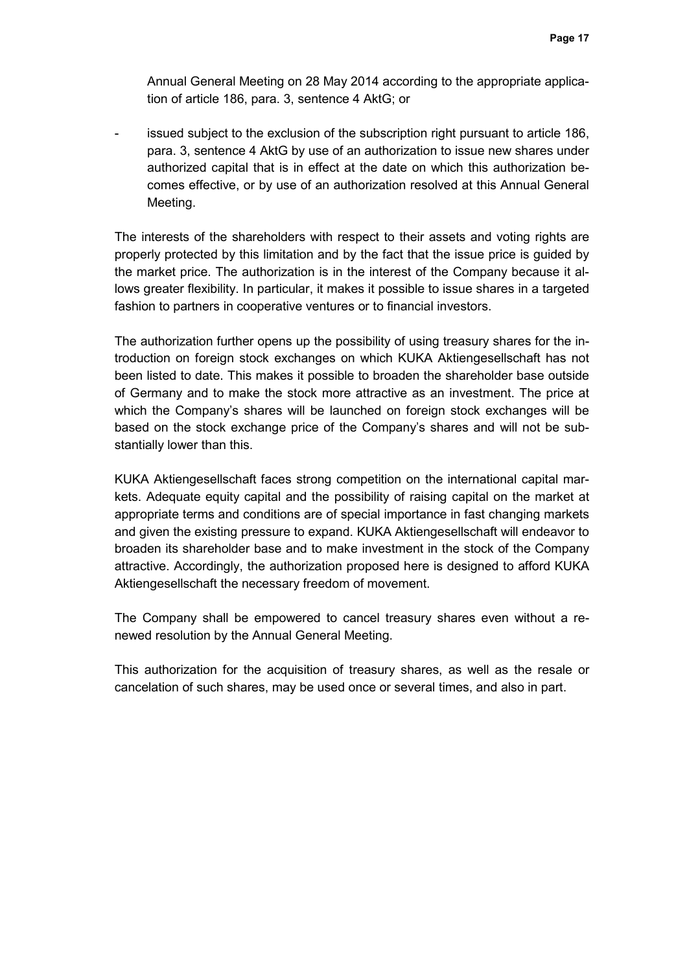Annual General Meeting on 28 May 2014 according to the appropriate application of article 186, para. 3, sentence 4 AktG; or

issued subject to the exclusion of the subscription right pursuant to article 186, para. 3, sentence 4 AktG by use of an authorization to issue new shares under authorized capital that is in effect at the date on which this authorization becomes effective, or by use of an authorization resolved at this Annual General Meeting.

The interests of the shareholders with respect to their assets and voting rights are properly protected by this limitation and by the fact that the issue price is guided by the market price. The authorization is in the interest of the Company because it allows greater flexibility. In particular, it makes it possible to issue shares in a targeted fashion to partners in cooperative ventures or to financial investors.

The authorization further opens up the possibility of using treasury shares for the introduction on foreign stock exchanges on which KUKA Aktiengesellschaft has not been listed to date. This makes it possible to broaden the shareholder base outside of Germany and to make the stock more attractive as an investment. The price at which the Company's shares will be launched on foreign stock exchanges will be based on the stock exchange price of the Company's shares and will not be substantially lower than this.

KUKA Aktiengesellschaft faces strong competition on the international capital markets. Adequate equity capital and the possibility of raising capital on the market at appropriate terms and conditions are of special importance in fast changing markets and given the existing pressure to expand. KUKA Aktiengesellschaft will endeavor to broaden its shareholder base and to make investment in the stock of the Company attractive. Accordingly, the authorization proposed here is designed to afford KUKA Aktiengesellschaft the necessary freedom of movement.

The Company shall be empowered to cancel treasury shares even without a renewed resolution by the Annual General Meeting.

This authorization for the acquisition of treasury shares, as well as the resale or cancelation of such shares, may be used once or several times, and also in part.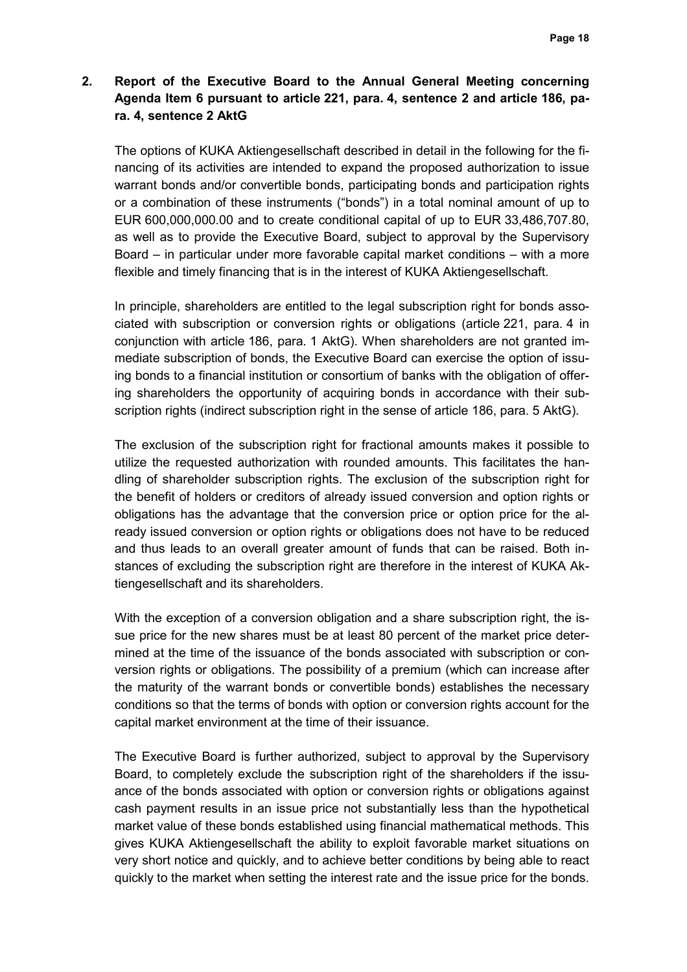# **2. Report of the Executive Board to the Annual General Meeting concerning Agenda Item 6 pursuant to article 221, para. 4, sentence 2 and article 186, para. 4, sentence 2 AktG**

The options of KUKA Aktiengesellschaft described in detail in the following for the financing of its activities are intended to expand the proposed authorization to issue warrant bonds and/or convertible bonds, participating bonds and participation rights or a combination of these instruments ("bonds") in a total nominal amount of up to EUR 600,000,000.00 and to create conditional capital of up to EUR 33,486,707.80, as well as to provide the Executive Board, subject to approval by the Supervisory Board – in particular under more favorable capital market conditions – with a more flexible and timely financing that is in the interest of KUKA Aktiengesellschaft.

In principle, shareholders are entitled to the legal subscription right for bonds associated with subscription or conversion rights or obligations (article 221, para. 4 in conjunction with article 186, para. 1 AktG). When shareholders are not granted immediate subscription of bonds, the Executive Board can exercise the option of issuing bonds to a financial institution or consortium of banks with the obligation of offering shareholders the opportunity of acquiring bonds in accordance with their subscription rights (indirect subscription right in the sense of article 186, para. 5 AktG).

The exclusion of the subscription right for fractional amounts makes it possible to utilize the requested authorization with rounded amounts. This facilitates the handling of shareholder subscription rights. The exclusion of the subscription right for the benefit of holders or creditors of already issued conversion and option rights or obligations has the advantage that the conversion price or option price for the already issued conversion or option rights or obligations does not have to be reduced and thus leads to an overall greater amount of funds that can be raised. Both instances of excluding the subscription right are therefore in the interest of KUKA Aktiengesellschaft and its shareholders.

With the exception of a conversion obligation and a share subscription right, the issue price for the new shares must be at least 80 percent of the market price determined at the time of the issuance of the bonds associated with subscription or conversion rights or obligations. The possibility of a premium (which can increase after the maturity of the warrant bonds or convertible bonds) establishes the necessary conditions so that the terms of bonds with option or conversion rights account for the capital market environment at the time of their issuance.

The Executive Board is further authorized, subject to approval by the Supervisory Board, to completely exclude the subscription right of the shareholders if the issuance of the bonds associated with option or conversion rights or obligations against cash payment results in an issue price not substantially less than the hypothetical market value of these bonds established using financial mathematical methods. This gives KUKA Aktiengesellschaft the ability to exploit favorable market situations on very short notice and quickly, and to achieve better conditions by being able to react quickly to the market when setting the interest rate and the issue price for the bonds.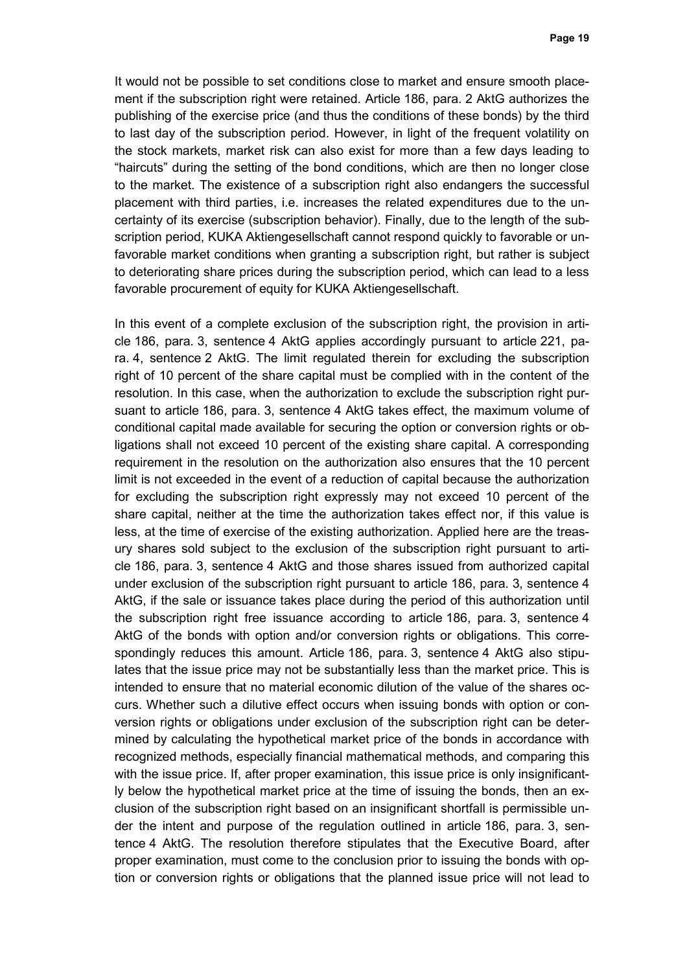It would not be possible to set conditions close to market and ensure smooth placement if the subscription right were retained. Article 186, para. 2 AktG authorizes the publishing of the exercise price (and thus the conditions of these bonds) by the third to last day of the subscription period. However, in light of the frequent volatility on the stock markets, market risk can also exist for more than a few days leading to "haircuts" during the setting of the bond conditions, which are then no longer close to the market. The existence of a subscription right also endangers the successful placement with third parties, i.e. increases the related expenditures due to the uncertainty of its exercise (subscription behavior). Finally, due to the length of the subscription period, KUKA Aktiengesellschaft cannot respond quickly to favorable or unfavorable market conditions when granting a subscription right, but rather is subject to deteriorating share prices during the subscription period, which can lead to a less favorable procurement of equity for KUKA Aktiengesellschaft.

In this event of a complete exclusion of the subscription right, the provision in article 186, para. 3, sentence 4 AktG applies accordingly pursuant to article 221, para. 4, sentence 2 AktG. The limit regulated therein for excluding the subscription right of 10 percent of the share capital must be complied with in the content of the resolution. In this case, when the authorization to exclude the subscription right pursuant to article 186, para. 3, sentence 4 AktG takes effect, the maximum volume of conditional capital made available for securing the option or conversion rights or obligations shall not exceed 10 percent of the existing share capital. A corresponding requirement in the resolution on the authorization also ensures that the 10 percent limit is not exceeded in the event of a reduction of capital because the authorization for excluding the subscription right expressly may not exceed 10 percent of the share capital, neither at the time the authorization takes effect nor, if this value is less, at the time of exercise of the existing authorization. Applied here are the treasury shares sold subject to the exclusion of the subscription right pursuant to article 186, para. 3, sentence 4 AktG and those shares issued from authorized capital under exclusion of the subscription right pursuant to article 186, para. 3, sentence 4 AktG, if the sale or issuance takes place during the period of this authorization until the subscription right free issuance according to article 186, para. 3, sentence 4 AktG of the bonds with option and/or conversion rights or obligations. This correspondingly reduces this amount. Article 186, para. 3, sentence 4 AktG also stipulates that the issue price may not be substantially less than the market price. This is intended to ensure that no material economic dilution of the value of the shares occurs. Whether such a dilutive effect occurs when issuing bonds with option or conversion rights or obligations under exclusion of the subscription right can be determined by calculating the hypothetical market price of the bonds in accordance with recognized methods, especially financial mathematical methods, and comparing this with the issue price. If, after proper examination, this issue price is only insignificantly below the hypothetical market price at the time of issuing the bonds, then an exclusion of the subscription right based on an insignificant shortfall is permissible under the intent and purpose of the regulation outlined in article 186, para. 3, sentence 4 AktG. The resolution therefore stipulates that the Executive Board, after proper examination, must come to the conclusion prior to issuing the bonds with option or conversion rights or obligations that the planned issue price will not lead to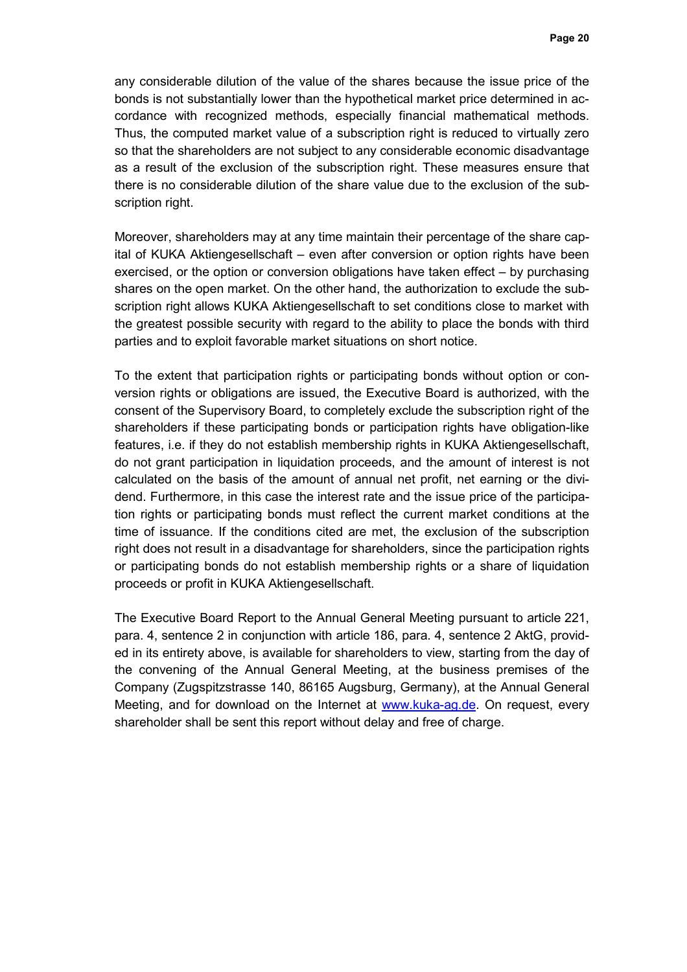any considerable dilution of the value of the shares because the issue price of the bonds is not substantially lower than the hypothetical market price determined in accordance with recognized methods, especially financial mathematical methods. Thus, the computed market value of a subscription right is reduced to virtually zero so that the shareholders are not subject to any considerable economic disadvantage as a result of the exclusion of the subscription right. These measures ensure that there is no considerable dilution of the share value due to the exclusion of the subscription right.

Moreover, shareholders may at any time maintain their percentage of the share capital of KUKA Aktiengesellschaft – even after conversion or option rights have been exercised, or the option or conversion obligations have taken effect – by purchasing shares on the open market. On the other hand, the authorization to exclude the subscription right allows KUKA Aktiengesellschaft to set conditions close to market with the greatest possible security with regard to the ability to place the bonds with third parties and to exploit favorable market situations on short notice.

To the extent that participation rights or participating bonds without option or conversion rights or obligations are issued, the Executive Board is authorized, with the consent of the Supervisory Board, to completely exclude the subscription right of the shareholders if these participating bonds or participation rights have obligation-like features, i.e. if they do not establish membership rights in KUKA Aktiengesellschaft, do not grant participation in liquidation proceeds, and the amount of interest is not calculated on the basis of the amount of annual net profit, net earning or the dividend. Furthermore, in this case the interest rate and the issue price of the participation rights or participating bonds must reflect the current market conditions at the time of issuance. If the conditions cited are met, the exclusion of the subscription right does not result in a disadvantage for shareholders, since the participation rights or participating bonds do not establish membership rights or a share of liquidation proceeds or profit in KUKA Aktiengesellschaft.

The Executive Board Report to the Annual General Meeting pursuant to article 221, para. 4, sentence 2 in conjunction with article 186, para. 4, sentence 2 AktG, provided in its entirety above, is available for shareholders to view, starting from the day of the convening of the Annual General Meeting, at the business premises of the Company (Zugspitzstrasse 140, 86165 Augsburg, Germany), at the Annual General Meeting, and for download on the Internet at www.kuka-ag.de. On request, every shareholder shall be sent this report without delay and free of charge.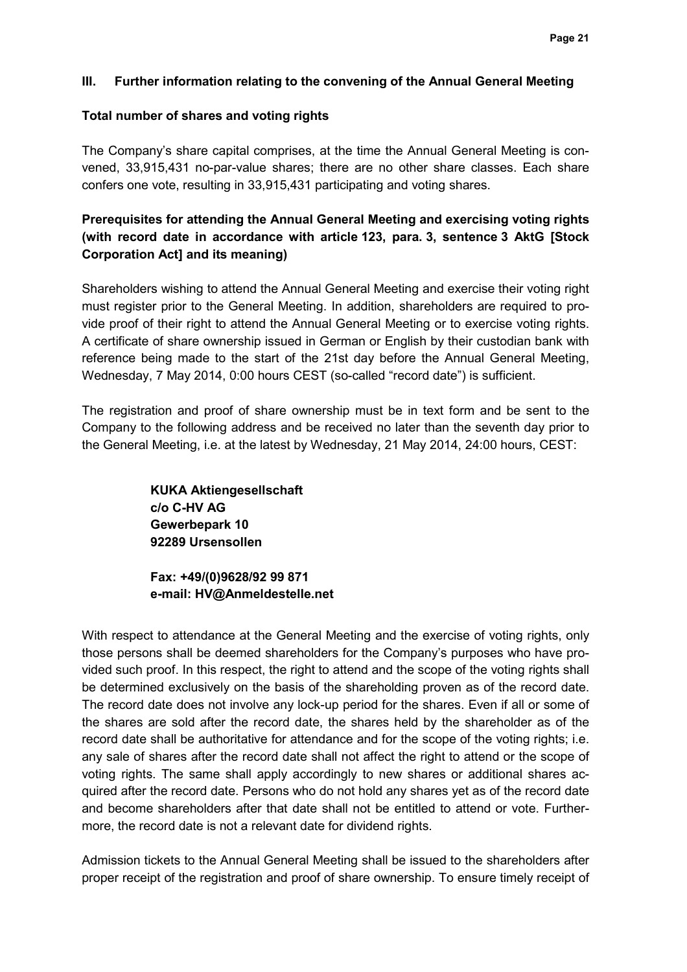### **III. Further information relating to the convening of the Annual General Meeting**

### **Total number of shares and voting rights**

The Company's share capital comprises, at the time the Annual General Meeting is convened, 33,915,431 no-par-value shares; there are no other share classes. Each share confers one vote, resulting in 33,915,431 participating and voting shares.

# **Prerequisites for attending the Annual General Meeting and exercising voting rights (with record date in accordance with article 123, para. 3, sentence 3 AktG [Stock Corporation Act] and its meaning)**

Shareholders wishing to attend the Annual General Meeting and exercise their voting right must register prior to the General Meeting. In addition, shareholders are required to provide proof of their right to attend the Annual General Meeting or to exercise voting rights. A certificate of share ownership issued in German or English by their custodian bank with reference being made to the start of the 21st day before the Annual General Meeting, Wednesday, 7 May 2014, 0:00 hours CEST (so-called "record date") is sufficient.

The registration and proof of share ownership must be in text form and be sent to the Company to the following address and be received no later than the seventh day prior to the General Meeting, i.e. at the latest by Wednesday, 21 May 2014, 24:00 hours, CEST:

> **KUKA Aktiengesellschaft c/o C-HV AG Gewerbepark 10 92289 Ursensollen**

**Fax: +49/(0)9628/92 99 871 e-mail: HV@Anmeldestelle.net** 

With respect to attendance at the General Meeting and the exercise of voting rights, only those persons shall be deemed shareholders for the Company's purposes who have provided such proof. In this respect, the right to attend and the scope of the voting rights shall be determined exclusively on the basis of the shareholding proven as of the record date. The record date does not involve any lock-up period for the shares. Even if all or some of the shares are sold after the record date, the shares held by the shareholder as of the record date shall be authoritative for attendance and for the scope of the voting rights; i.e. any sale of shares after the record date shall not affect the right to attend or the scope of voting rights. The same shall apply accordingly to new shares or additional shares acquired after the record date. Persons who do not hold any shares yet as of the record date and become shareholders after that date shall not be entitled to attend or vote. Furthermore, the record date is not a relevant date for dividend rights.

Admission tickets to the Annual General Meeting shall be issued to the shareholders after proper receipt of the registration and proof of share ownership. To ensure timely receipt of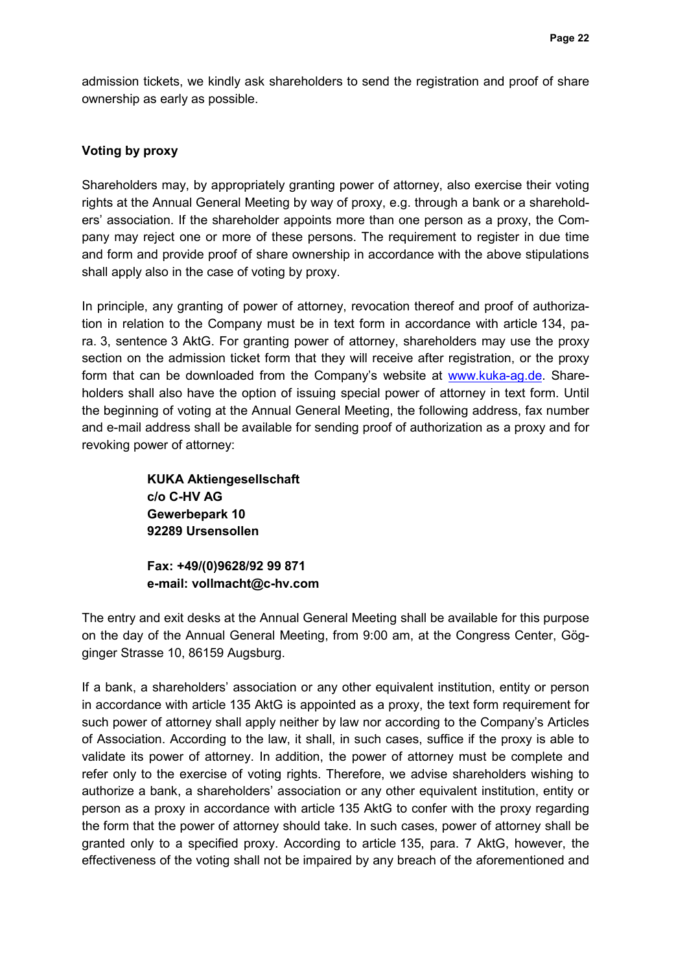admission tickets, we kindly ask shareholders to send the registration and proof of share ownership as early as possible.

#### **Voting by proxy**

Shareholders may, by appropriately granting power of attorney, also exercise their voting rights at the Annual General Meeting by way of proxy, e.g. through a bank or a shareholders' association. If the shareholder appoints more than one person as a proxy, the Company may reject one or more of these persons. The requirement to register in due time and form and provide proof of share ownership in accordance with the above stipulations shall apply also in the case of voting by proxy.

In principle, any granting of power of attorney, revocation thereof and proof of authorization in relation to the Company must be in text form in accordance with article 134, para. 3, sentence 3 AktG. For granting power of attorney, shareholders may use the proxy section on the admission ticket form that they will receive after registration, or the proxy form that can be downloaded from the Company's website at www.kuka-ag.de. Shareholders shall also have the option of issuing special power of attorney in text form. Until the beginning of voting at the Annual General Meeting, the following address, fax number and e-mail address shall be available for sending proof of authorization as a proxy and for revoking power of attorney:

> **KUKA Aktiengesellschaft c/o C-HV AG Gewerbepark 10 92289 Ursensollen**

**Fax: +49/(0)9628/92 99 871 e-mail: vollmacht@c-hv.com** 

The entry and exit desks at the Annual General Meeting shall be available for this purpose on the day of the Annual General Meeting, from 9:00 am, at the Congress Center, Gögginger Strasse 10, 86159 Augsburg.

If a bank, a shareholders' association or any other equivalent institution, entity or person in accordance with article 135 AktG is appointed as a proxy, the text form requirement for such power of attorney shall apply neither by law nor according to the Company's Articles of Association. According to the law, it shall, in such cases, suffice if the proxy is able to validate its power of attorney. In addition, the power of attorney must be complete and refer only to the exercise of voting rights. Therefore, we advise shareholders wishing to authorize a bank, a shareholders' association or any other equivalent institution, entity or person as a proxy in accordance with article 135 AktG to confer with the proxy regarding the form that the power of attorney should take. In such cases, power of attorney shall be granted only to a specified proxy. According to article 135, para. 7 AktG, however, the effectiveness of the voting shall not be impaired by any breach of the aforementioned and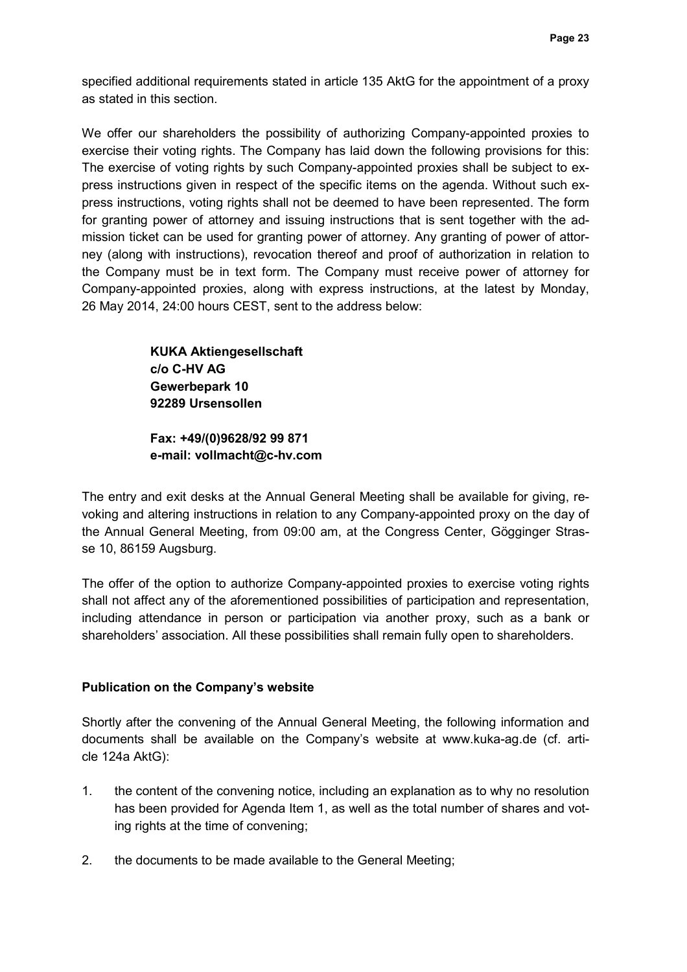specified additional requirements stated in article 135 AktG for the appointment of a proxy as stated in this section.

We offer our shareholders the possibility of authorizing Company-appointed proxies to exercise their voting rights. The Company has laid down the following provisions for this: The exercise of voting rights by such Company-appointed proxies shall be subject to express instructions given in respect of the specific items on the agenda. Without such express instructions, voting rights shall not be deemed to have been represented. The form for granting power of attorney and issuing instructions that is sent together with the admission ticket can be used for granting power of attorney. Any granting of power of attorney (along with instructions), revocation thereof and proof of authorization in relation to the Company must be in text form. The Company must receive power of attorney for Company-appointed proxies, along with express instructions, at the latest by Monday, 26 May 2014, 24:00 hours CEST, sent to the address below:

> **KUKA Aktiengesellschaft c/o C-HV AG Gewerbepark 10 92289 Ursensollen**

**Fax: +49/(0)9628/92 99 871 e-mail: vollmacht@c-hv.com** 

The entry and exit desks at the Annual General Meeting shall be available for giving, revoking and altering instructions in relation to any Company-appointed proxy on the day of the Annual General Meeting, from 09:00 am, at the Congress Center, Gögginger Strasse 10, 86159 Augsburg.

The offer of the option to authorize Company-appointed proxies to exercise voting rights shall not affect any of the aforementioned possibilities of participation and representation, including attendance in person or participation via another proxy, such as a bank or shareholders' association. All these possibilities shall remain fully open to shareholders.

## **Publication on the Company's website**

Shortly after the convening of the Annual General Meeting, the following information and documents shall be available on the Company's website at www.kuka-ag.de (cf. article 124a AktG):

- 1. the content of the convening notice, including an explanation as to why no resolution has been provided for Agenda Item 1, as well as the total number of shares and voting rights at the time of convening;
- 2. the documents to be made available to the General Meeting;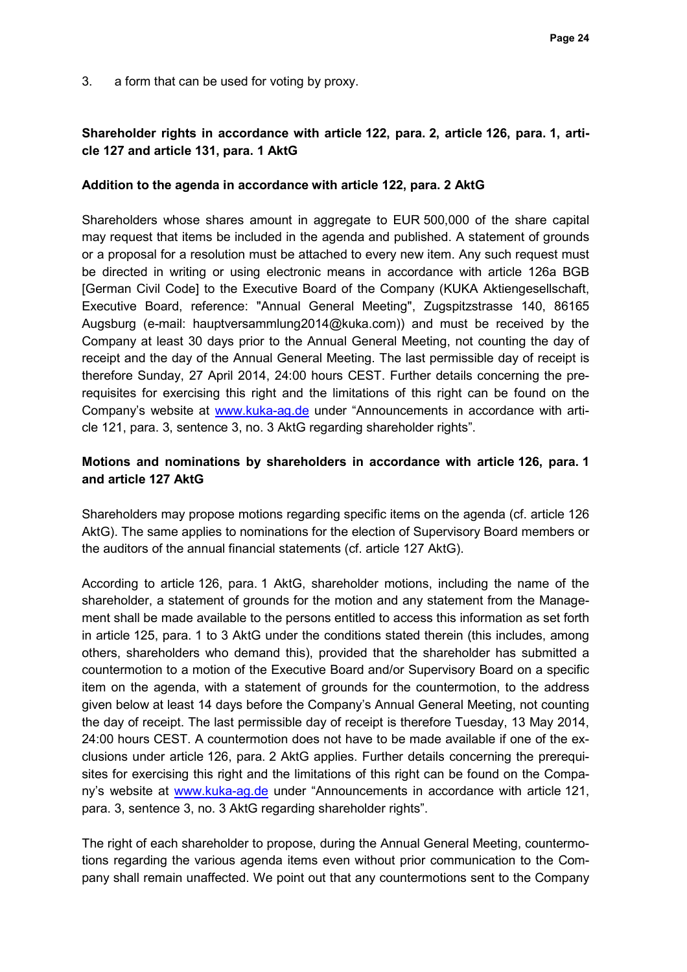3. a form that can be used for voting by proxy.

## **Shareholder rights in accordance with article 122, para. 2, article 126, para. 1, article 127 and article 131, para. 1 AktG**

### **Addition to the agenda in accordance with article 122, para. 2 AktG**

Shareholders whose shares amount in aggregate to EUR 500,000 of the share capital may request that items be included in the agenda and published. A statement of grounds or a proposal for a resolution must be attached to every new item. Any such request must be directed in writing or using electronic means in accordance with article 126a BGB [German Civil Code] to the Executive Board of the Company (KUKA Aktiengesellschaft, Executive Board, reference: "Annual General Meeting", Zugspitzstrasse 140, 86165 Augsburg (e-mail: hauptversammlung2014@kuka.com)) and must be received by the Company at least 30 days prior to the Annual General Meeting, not counting the day of receipt and the day of the Annual General Meeting. The last permissible day of receipt is therefore Sunday, 27 April 2014, 24:00 hours CEST. Further details concerning the prerequisites for exercising this right and the limitations of this right can be found on the Company's website at www.kuka-ag.de under "Announcements in accordance with article 121, para. 3, sentence 3, no. 3 AktG regarding shareholder rights".

## **Motions and nominations by shareholders in accordance with article 126, para. 1 and article 127 AktG**

Shareholders may propose motions regarding specific items on the agenda (cf. article 126 AktG). The same applies to nominations for the election of Supervisory Board members or the auditors of the annual financial statements (cf. article 127 AktG).

According to article 126, para. 1 AktG, shareholder motions, including the name of the shareholder, a statement of grounds for the motion and any statement from the Management shall be made available to the persons entitled to access this information as set forth in article 125, para. 1 to 3 AktG under the conditions stated therein (this includes, among others, shareholders who demand this), provided that the shareholder has submitted a countermotion to a motion of the Executive Board and/or Supervisory Board on a specific item on the agenda, with a statement of grounds for the countermotion, to the address given below at least 14 days before the Company's Annual General Meeting, not counting the day of receipt. The last permissible day of receipt is therefore Tuesday, 13 May 2014, 24:00 hours CEST. A countermotion does not have to be made available if one of the exclusions under article 126, para. 2 AktG applies. Further details concerning the prerequisites for exercising this right and the limitations of this right can be found on the Company's website at www.kuka-ag.de under "Announcements in accordance with article 121, para. 3, sentence 3, no. 3 AktG regarding shareholder rights".

The right of each shareholder to propose, during the Annual General Meeting, countermotions regarding the various agenda items even without prior communication to the Company shall remain unaffected. We point out that any countermotions sent to the Company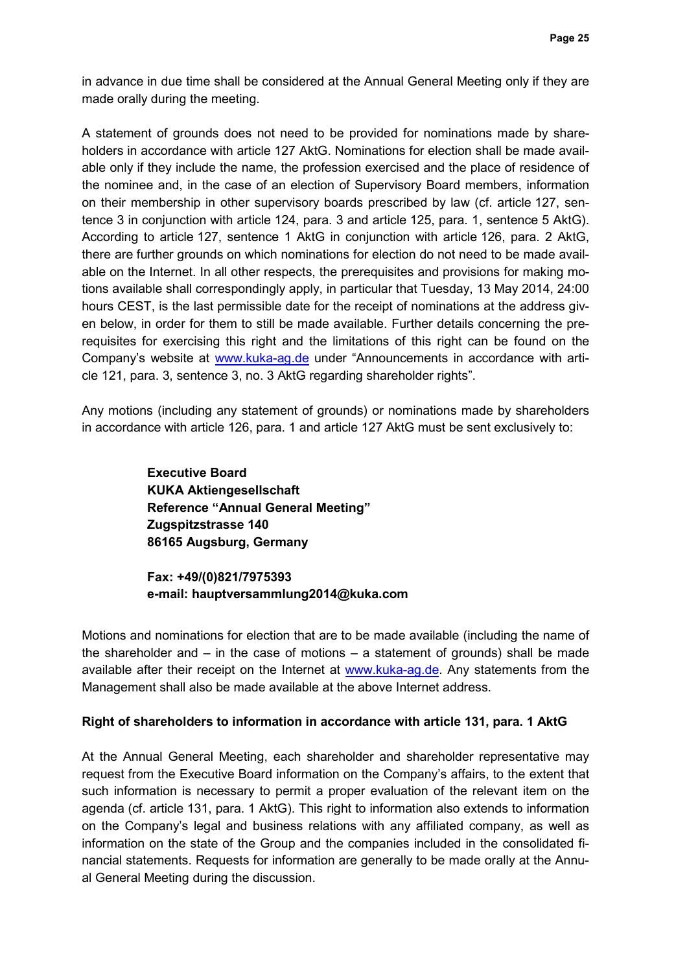in advance in due time shall be considered at the Annual General Meeting only if they are made orally during the meeting.

A statement of grounds does not need to be provided for nominations made by shareholders in accordance with article 127 AktG. Nominations for election shall be made available only if they include the name, the profession exercised and the place of residence of the nominee and, in the case of an election of Supervisory Board members, information on their membership in other supervisory boards prescribed by law (cf. article 127, sentence 3 in conjunction with article 124, para. 3 and article 125, para. 1, sentence 5 AktG). According to article 127, sentence 1 AktG in conjunction with article 126, para. 2 AktG, there are further grounds on which nominations for election do not need to be made available on the Internet. In all other respects, the prerequisites and provisions for making motions available shall correspondingly apply, in particular that Tuesday, 13 May 2014, 24:00 hours CEST, is the last permissible date for the receipt of nominations at the address given below, in order for them to still be made available. Further details concerning the prerequisites for exercising this right and the limitations of this right can be found on the Company's website at www.kuka-ag.de under "Announcements in accordance with article 121, para. 3, sentence 3, no. 3 AktG regarding shareholder rights".

Any motions (including any statement of grounds) or nominations made by shareholders in accordance with article 126, para. 1 and article 127 AktG must be sent exclusively to:

> **Executive Board KUKA Aktiengesellschaft Reference "Annual General Meeting" Zugspitzstrasse 140 86165 Augsburg, Germany**

**Fax: +49/(0)821/7975393 e-mail: hauptversammlung2014@kuka.com**

Motions and nominations for election that are to be made available (including the name of the shareholder and  $-$  in the case of motions  $-$  a statement of grounds) shall be made available after their receipt on the Internet at www.kuka-ag.de. Any statements from the Management shall also be made available at the above Internet address.

### **Right of shareholders to information in accordance with article 131, para. 1 AktG**

At the Annual General Meeting, each shareholder and shareholder representative may request from the Executive Board information on the Company's affairs, to the extent that such information is necessary to permit a proper evaluation of the relevant item on the agenda (cf. article 131, para. 1 AktG). This right to information also extends to information on the Company's legal and business relations with any affiliated company, as well as information on the state of the Group and the companies included in the consolidated financial statements. Requests for information are generally to be made orally at the Annual General Meeting during the discussion.